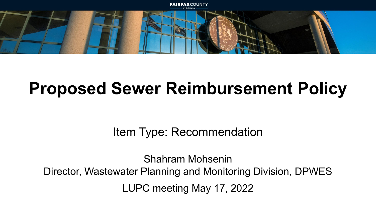

## **Proposed Sewer Reimbursement Policy**

Item Type: Recommendation

Shahram Mohsenin Director, Wastewater Planning and Monitoring Division, DPWES LUPC meeting May 17, 2022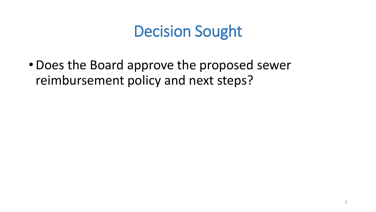## Decision Sought

•Does the Board approve the proposed sewer reimbursement policy and next steps?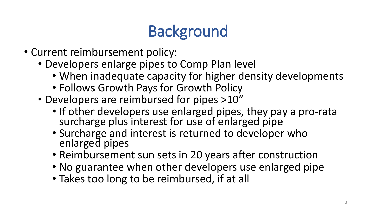# **Background**

- Current reimbursement policy:
	- Developers enlarge pipes to Comp Plan level
		- When inadequate capacity for higher density developments
		- Follows Growth Pays for Growth Policy
	- Developers are reimbursed for pipes >10"
		- If other developers use enlarged pipes, they pay a pro-rata surcharge plus interest for use of enlarged pipe
		- Surcharge and interest is returned to developer who enlarged pipes
		- Reimbursement sun sets in 20 years after construction
		- No guarantee when other developers use enlarged pipe
		- Takes too long to be reimbursed, if at all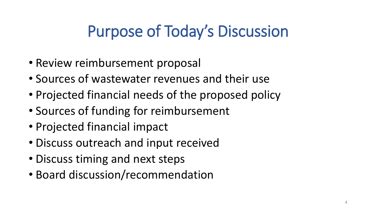## Purpose of Today's Discussion

- Review reimbursement proposal
- Sources of wastewater revenues and their use
- Projected financial needs of the proposed policy
- Sources of funding for reimbursement
- Projected financial impact
- Discuss outreach and input received
- Discuss timing and next steps
- Board discussion/recommendation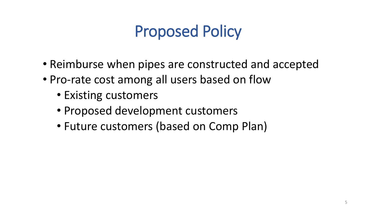## Proposed Policy

- Reimburse when pipes are constructed and accepted
- Pro-rate cost among all users based on flow
	- Existing customers
	- Proposed development customers
	- Future customers (based on Comp Plan)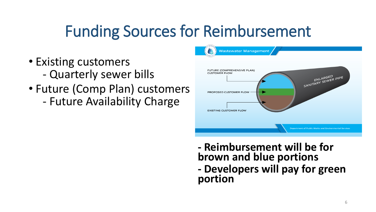## Funding Sources for Reimbursement

- Existing customers
	- Quarterly sewer bills
- Future (Comp Plan) customers - Future Availability Charge



**- Reimbursement will be for brown and blue portions - Developers will pay for green portion**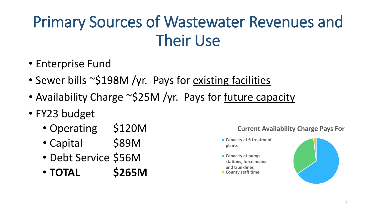## Primary Sources of Wastewater Revenues and Their Use

- Enterprise Fund
- Sewer bills ~\$198M /yr. Pays for existing facilities
- Availability Charge ~\$25M /yr. Pays for future capacity
- FY23 budget
	- Operating \$120M
	- Capital \$89M
	- Debt Service \$56M
	- **TOTAL \$265M**

**Current Availability Charge Pays For**

- **Capacity at 6 treatment plants**
- **Capacity at pump stations, force mains and trunklines County staff time**

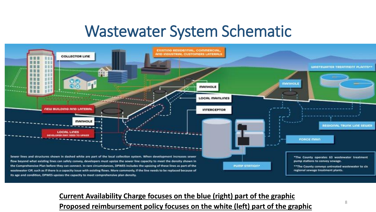### Wastewater System Schematic



#### **Current Availability Charge focuses on the blue (right) part of the graphic Proposed reimbursement policy focuses on the white (left) part of the graphic** <sup>8</sup>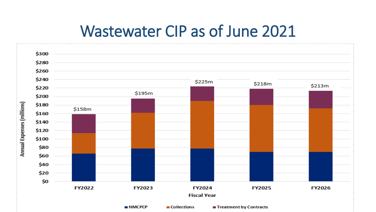### Wastewater CIP as of June 2021

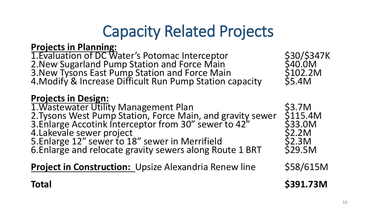## Capacity Related Projects

#### **Projects in Planning:**

1. Evaluation of DC Water's Potomac Interceptor 530/\$347K<br>
2. New Sugarland Pump Station and Force Main 540.0M 2. New Sugarland Pump Station and Force Main 540.0M<br>3. New Tysons East Pump Station and Force Main 5102.2M 3.New Tysons East Pump Station and Force Main \$102.2M 4.Modify & Increase Difficult Run Pump Station capacity \$5.4M

#### **Projects in Design:**

1. Wastewater Utility Management Plan<br>2. Tysons West Pump Station. Force Main. and gravity sewer \$115.4M 2. Tysons West Pump Station, Force Main, and gravity sewer \$115.4M 3.Enlarge Accotink Interceptor from 30" sewer to 42" \$33.0M 4. Lakevale sewer project<br>
5. Enlarge 12" sewer to 18" sewer in Merrifield<br>
52.3M 5. Enlarge 12" sewer to 18" sewer in Merrifield \$2.3M<br>6. Enlarge and relocate gravity sewers along Route 1 BRT \$29.5M 6. Enlarge and relocate gravity sewers along Route 1 BRT

**Project in Construction:** Upsize Alexandria Renew line \$58/615M

- 
-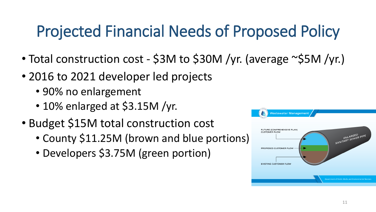## Projected Financial Needs of Proposed Policy

- Total construction cost \$3M to \$30M /yr. (average ~\$5M /yr.)
- 2016 to 2021 developer led projects
	- 90% no enlargement
	- 10% enlarged at \$3.15M /yr.
- Budget \$15M total construction cost
	- County \$11.25M (brown and blue portions)
	- Developers \$3.75M (green portion)

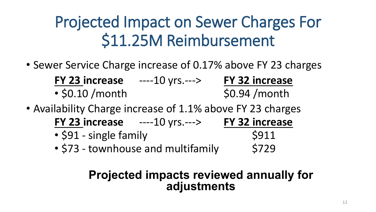## Projected Impact on Sewer Charges For \$11.25M Reimbursement

- Sewer Service Charge increase of 0.17% above FY 23 charges **FY 23 increase** ----10 yrs.---> **FY 32 increase**  $\cdot$  \$0.10 /month  $\cdot$  \$0.94 /month
- Availability Charge increase of 1.1% above FY 23 charges **FY 23 increase** ----10 yrs.---> **FY 32 increase**
	- $\cdot$  \$91 single family  $\cdot$  \$911 • \$73 - townhouse and multifamily \$729

### **Projected impacts reviewed annually for adjustments**